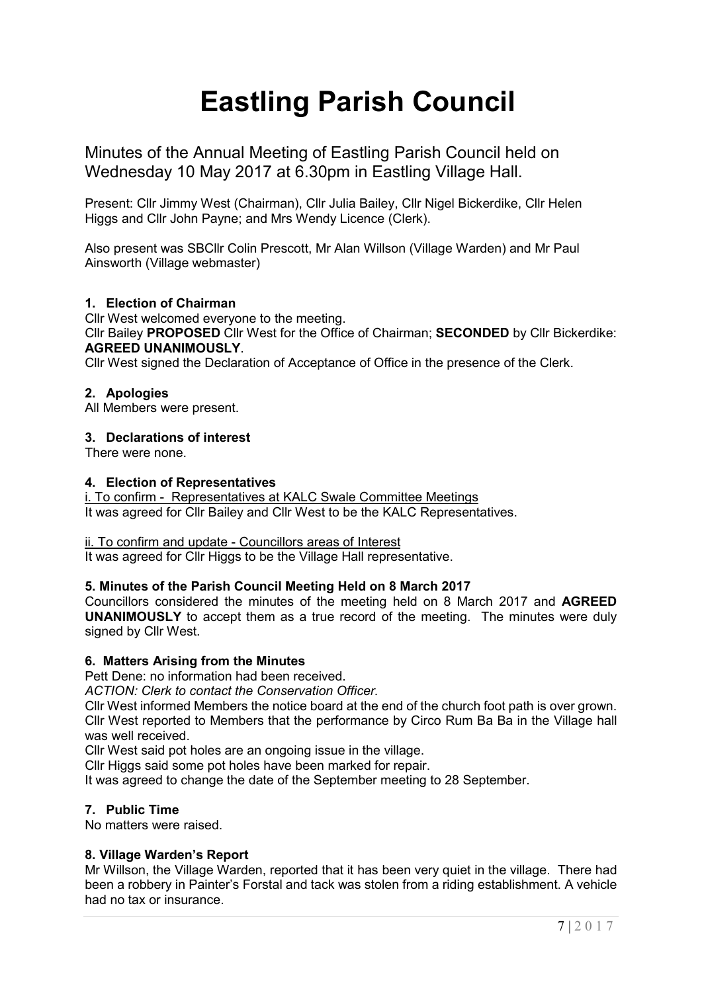# **Eastling Parish Council**

Minutes of the Annual Meeting of Eastling Parish Council held on Wednesday 10 May 2017 at 6.30pm in Eastling Village Hall.

Present: Cllr Jimmy West (Chairman), Cllr Julia Bailey, Cllr Nigel Bickerdike, Cllr Helen Higgs and Cllr John Payne; and Mrs Wendy Licence (Clerk).

Also present was SBCllr Colin Prescott, Mr Alan Willson (Village Warden) and Mr Paul Ainsworth (Village webmaster)

# **1. Election of Chairman**

Cllr West welcomed everyone to the meeting.

Cllr Bailey **PROPOSED** Cllr West for the Office of Chairman; **SECONDED** by Cllr Bickerdike: **AGREED UNANIMOUSLY**.

Cllr West signed the Declaration of Acceptance of Office in the presence of the Clerk.

# **2. Apologies**

All Members were present.

## **3. Declarations of interest**

There were none.

## **4. Election of Representatives**

i. To confirm - Representatives at KALC Swale Committee Meetings It was agreed for Cllr Bailey and Cllr West to be the KALC Representatives.

## ii. To confirm and update - Councillors areas of Interest

It was agreed for Cllr Higgs to be the Village Hall representative.

# **5. Minutes of the Parish Council Meeting Held on 8 March 2017**

Councillors considered the minutes of the meeting held on 8 March 2017 and **AGREED UNANIMOUSLY** to accept them as a true record of the meeting. The minutes were duly signed by Cllr West.

## **6. Matters Arising from the Minutes**

Pett Dene: no information had been received.

*ACTION: Clerk to contact the Conservation Officer.*

Cllr West informed Members the notice board at the end of the church foot path is over grown. Cllr West reported to Members that the performance by Circo Rum Ba Ba in the Village hall was well received.

Cllr West said pot holes are an ongoing issue in the village.

Cllr Higgs said some pot holes have been marked for repair.

It was agreed to change the date of the September meeting to 28 September.

# **7. Public Time**

No matters were raised.

# **8. Village Warden's Report**

Mr Willson, the Village Warden, reported that it has been very quiet in the village. There had been a robbery in Painter's Forstal and tack was stolen from a riding establishment. A vehicle had no tax or insurance.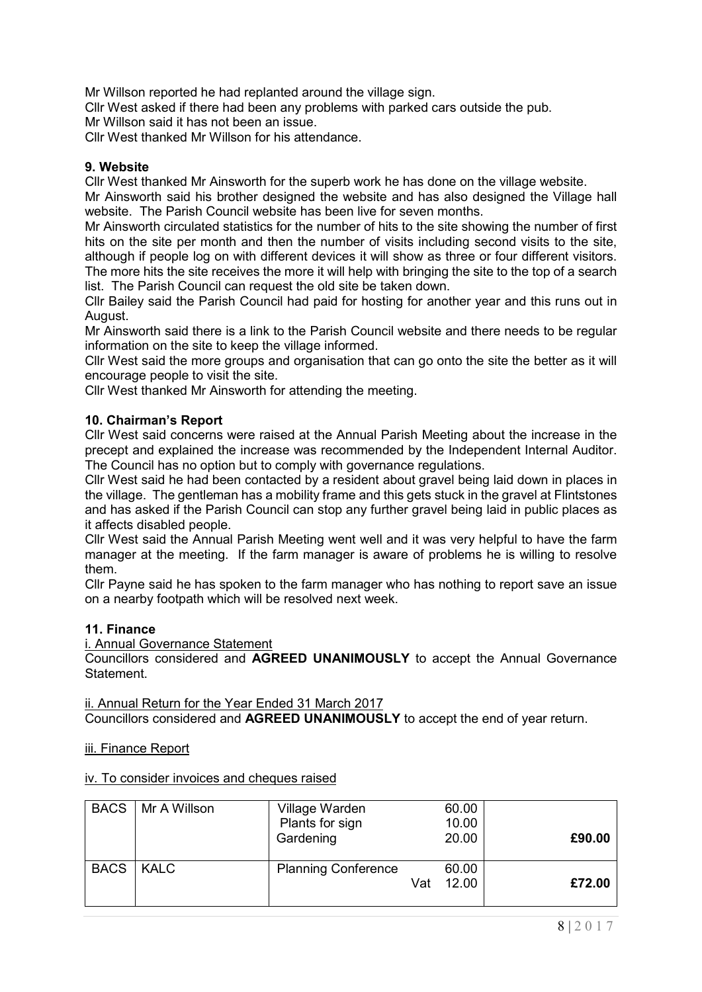Mr Willson reported he had replanted around the village sign.

Cllr West asked if there had been any problems with parked cars outside the pub.

Mr Willson said it has not been an issue.

Cllr West thanked Mr Willson for his attendance.

# **9. Website**

Cllr West thanked Mr Ainsworth for the superb work he has done on the village website.

Mr Ainsworth said his brother designed the website and has also designed the Village hall website. The Parish Council website has been live for seven months.

Mr Ainsworth circulated statistics for the number of hits to the site showing the number of first hits on the site per month and then the number of visits including second visits to the site, although if people log on with different devices it will show as three or four different visitors. The more hits the site receives the more it will help with bringing the site to the top of a search list. The Parish Council can request the old site be taken down.

Cllr Bailey said the Parish Council had paid for hosting for another year and this runs out in August.

Mr Ainsworth said there is a link to the Parish Council website and there needs to be regular information on the site to keep the village informed.

Cllr West said the more groups and organisation that can go onto the site the better as it will encourage people to visit the site.

Cllr West thanked Mr Ainsworth for attending the meeting.

# **10. Chairman's Report**

Cllr West said concerns were raised at the Annual Parish Meeting about the increase in the precept and explained the increase was recommended by the Independent Internal Auditor. The Council has no option but to comply with governance regulations.

Cllr West said he had been contacted by a resident about gravel being laid down in places in the village. The gentleman has a mobility frame and this gets stuck in the gravel at Flintstones and has asked if the Parish Council can stop any further gravel being laid in public places as it affects disabled people.

Cllr West said the Annual Parish Meeting went well and it was very helpful to have the farm manager at the meeting. If the farm manager is aware of problems he is willing to resolve them.

Cllr Payne said he has spoken to the farm manager who has nothing to report save an issue on a nearby footpath which will be resolved next week.

# **11. Finance**

i. Annual Governance Statement

Councillors considered and **AGREED UNANIMOUSLY** to accept the Annual Governance Statement.

ii. Annual Return for the Year Ended 31 March 2017

Councillors considered and **AGREED UNANIMOUSLY** to accept the end of year return.

## iii. Finance Report

## iv. To consider invoices and cheques raised

|             | BACS   Mr A Willson | Village Warden<br>Plants for sign<br>Gardening |     | 60.00<br>10.00<br>20.00 | £90.00 |
|-------------|---------------------|------------------------------------------------|-----|-------------------------|--------|
| BACS   KALC |                     | <b>Planning Conference</b>                     | Vat | 60.00<br>12.00          | £72.00 |